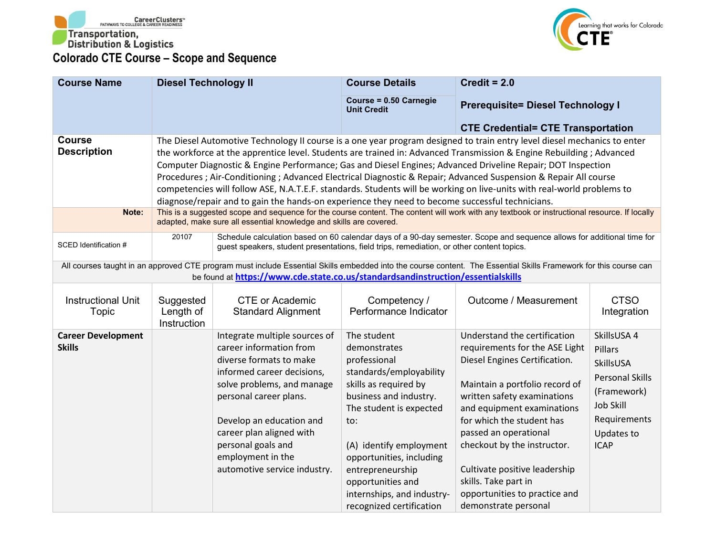



| <b>Course Name</b>                         | <b>Diesel Technology II</b>                                                                                                                                                                                                                                                                                                                                                                                                                                                                                                                                                                                                                                                                                     |                                                                                                                                                                                                                                                                                                              | <b>Course Details</b>                                                                                                                                                                                                                                                                                                 | Credit = $2.0$                                                                                                                                                                                                                                                                                                                                                                                        |                                                                                                                                                      |
|--------------------------------------------|-----------------------------------------------------------------------------------------------------------------------------------------------------------------------------------------------------------------------------------------------------------------------------------------------------------------------------------------------------------------------------------------------------------------------------------------------------------------------------------------------------------------------------------------------------------------------------------------------------------------------------------------------------------------------------------------------------------------|--------------------------------------------------------------------------------------------------------------------------------------------------------------------------------------------------------------------------------------------------------------------------------------------------------------|-----------------------------------------------------------------------------------------------------------------------------------------------------------------------------------------------------------------------------------------------------------------------------------------------------------------------|-------------------------------------------------------------------------------------------------------------------------------------------------------------------------------------------------------------------------------------------------------------------------------------------------------------------------------------------------------------------------------------------------------|------------------------------------------------------------------------------------------------------------------------------------------------------|
|                                            |                                                                                                                                                                                                                                                                                                                                                                                                                                                                                                                                                                                                                                                                                                                 |                                                                                                                                                                                                                                                                                                              | Course = 0.50 Carnegie<br><b>Unit Credit</b>                                                                                                                                                                                                                                                                          | <b>Prerequisite= Diesel Technology I</b>                                                                                                                                                                                                                                                                                                                                                              |                                                                                                                                                      |
|                                            |                                                                                                                                                                                                                                                                                                                                                                                                                                                                                                                                                                                                                                                                                                                 |                                                                                                                                                                                                                                                                                                              |                                                                                                                                                                                                                                                                                                                       | <b>CTE Credential= CTE Transportation</b>                                                                                                                                                                                                                                                                                                                                                             |                                                                                                                                                      |
| <b>Course</b><br><b>Description</b>        | The Diesel Automotive Technology II course is a one year program designed to train entry level diesel mechanics to enter<br>the workforce at the apprentice level. Students are trained in: Advanced Transmission & Engine Rebuilding; Advanced<br>Computer Diagnostic & Engine Performance; Gas and Diesel Engines; Advanced Driveline Repair; DOT Inspection<br>Procedures ; Air-Conditioning ; Advanced Electrical Diagnostic & Repair; Advanced Suspension & Repair All course<br>competencies will follow ASE, N.A.T.E.F. standards. Students will be working on live-units with real-world problems to<br>diagnose/repair and to gain the hands-on experience they need to become successful technicians. |                                                                                                                                                                                                                                                                                                              |                                                                                                                                                                                                                                                                                                                       |                                                                                                                                                                                                                                                                                                                                                                                                       |                                                                                                                                                      |
| Note:                                      |                                                                                                                                                                                                                                                                                                                                                                                                                                                                                                                                                                                                                                                                                                                 | adapted, make sure all essential knowledge and skills are covered.                                                                                                                                                                                                                                           |                                                                                                                                                                                                                                                                                                                       | This is a suggested scope and sequence for the course content. The content will work with any textbook or instructional resource. If locally                                                                                                                                                                                                                                                          |                                                                                                                                                      |
| SCED Identification #                      | Schedule calculation based on 60 calendar days of a 90-day semester. Scope and sequence allows for additional time for<br>20107<br>guest speakers, student presentations, field trips, remediation, or other content topics.                                                                                                                                                                                                                                                                                                                                                                                                                                                                                    |                                                                                                                                                                                                                                                                                                              |                                                                                                                                                                                                                                                                                                                       |                                                                                                                                                                                                                                                                                                                                                                                                       |                                                                                                                                                      |
|                                            |                                                                                                                                                                                                                                                                                                                                                                                                                                                                                                                                                                                                                                                                                                                 | be found at https://www.cde.state.co.us/standardsandinstruction/essentialskills                                                                                                                                                                                                                              |                                                                                                                                                                                                                                                                                                                       | All courses taught in an approved CTE program must include Essential Skills embedded into the course content. The Essential Skills Framework for this course can                                                                                                                                                                                                                                      |                                                                                                                                                      |
| <b>Instructional Unit</b><br>Topic         | Suggested<br>Length of<br>Instruction                                                                                                                                                                                                                                                                                                                                                                                                                                                                                                                                                                                                                                                                           | <b>CTE or Academic</b><br><b>Standard Alignment</b>                                                                                                                                                                                                                                                          | Competency /<br>Performance Indicator                                                                                                                                                                                                                                                                                 | Outcome / Measurement                                                                                                                                                                                                                                                                                                                                                                                 | <b>CTSO</b><br>Integration                                                                                                                           |
| <b>Career Development</b><br><b>Skills</b> |                                                                                                                                                                                                                                                                                                                                                                                                                                                                                                                                                                                                                                                                                                                 | Integrate multiple sources of<br>career information from<br>diverse formats to make<br>informed career decisions,<br>solve problems, and manage<br>personal career plans.<br>Develop an education and<br>career plan aligned with<br>personal goals and<br>employment in the<br>automotive service industry. | The student<br>demonstrates<br>professional<br>standards/employability<br>skills as required by<br>business and industry.<br>The student is expected<br>to:<br>(A) identify employment<br>opportunities, including<br>entrepreneurship<br>opportunities and<br>internships, and industry-<br>recognized certification | Understand the certification<br>requirements for the ASE Light<br>Diesel Engines Certification.<br>Maintain a portfolio record of<br>written safety examinations<br>and equipment examinations<br>for which the student has<br>passed an operational<br>checkout by the instructor.<br>Cultivate positive leadership<br>skills. Take part in<br>opportunities to practice and<br>demonstrate personal | SkillsUSA 4<br>Pillars<br><b>SkillsUSA</b><br><b>Personal Skills</b><br>(Framework)<br><b>Job Skill</b><br>Requirements<br>Updates to<br><b>ICAP</b> |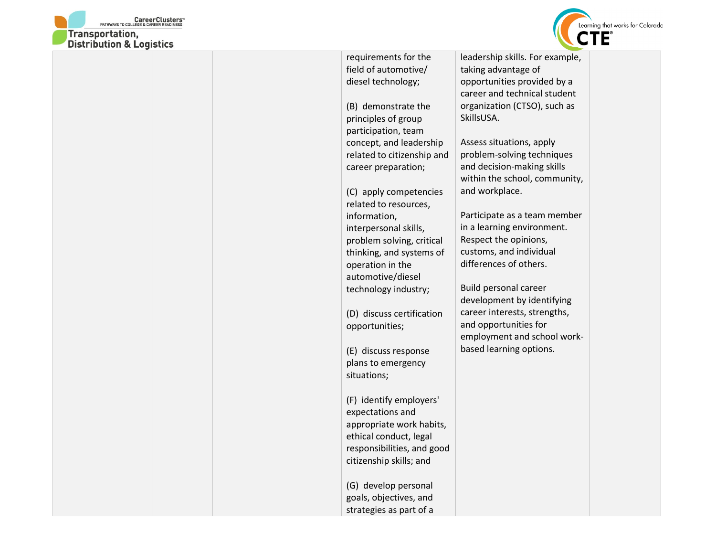



| DISTRIBUTION & LOGISTICS |                            |                                 |
|--------------------------|----------------------------|---------------------------------|
|                          | requirements for the       | leadership skills. For example, |
|                          | field of automotive/       | taking advantage of             |
|                          | diesel technology;         | opportunities provided by a     |
|                          |                            | career and technical student    |
|                          | (B) demonstrate the        | organization (CTSO), such as    |
|                          | principles of group        | SkillsUSA.                      |
|                          | participation, team        |                                 |
|                          | concept, and leadership    | Assess situations, apply        |
|                          | related to citizenship and | problem-solving techniques      |
|                          | career preparation;        | and decision-making skills      |
|                          |                            | within the school, community,   |
|                          | (C) apply competencies     | and workplace.                  |
|                          | related to resources,      |                                 |
|                          | information,               | Participate as a team member    |
|                          | interpersonal skills,      | in a learning environment.      |
|                          | problem solving, critical  | Respect the opinions,           |
|                          | thinking, and systems of   | customs, and individual         |
|                          | operation in the           | differences of others.          |
|                          | automotive/diesel          |                                 |
|                          | technology industry;       | <b>Build personal career</b>    |
|                          |                            | development by identifying      |
|                          | (D) discuss certification  | career interests, strengths,    |
|                          | opportunities;             | and opportunities for           |
|                          |                            | employment and school work-     |
|                          | (E) discuss response       | based learning options.         |
|                          | plans to emergency         |                                 |
|                          | situations;                |                                 |
|                          |                            |                                 |
|                          | (F) identify employers'    |                                 |
|                          | expectations and           |                                 |
|                          | appropriate work habits,   |                                 |
|                          | ethical conduct, legal     |                                 |
|                          | responsibilities, and good |                                 |
|                          | citizenship skills; and    |                                 |
|                          |                            |                                 |
|                          | (G) develop personal       |                                 |
|                          | goals, objectives, and     |                                 |
|                          | strategies as part of a    |                                 |
|                          |                            |                                 |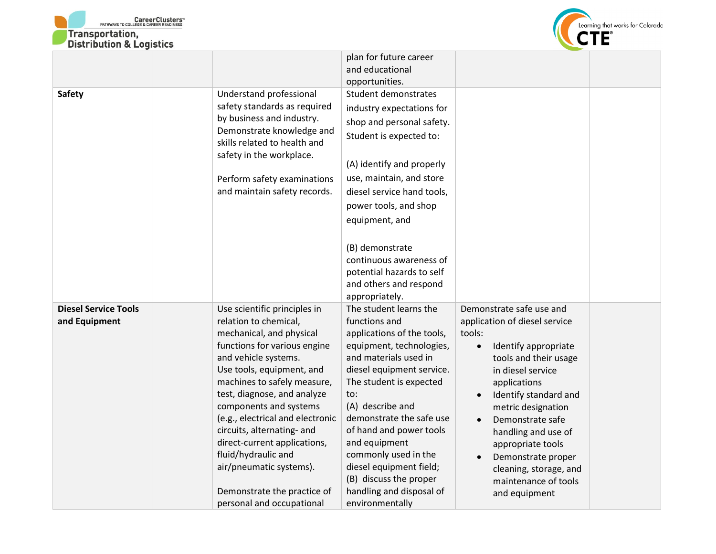



|                             |                                                           | plan for future career                      |                                   |  |
|-----------------------------|-----------------------------------------------------------|---------------------------------------------|-----------------------------------|--|
|                             |                                                           | and educational                             |                                   |  |
|                             |                                                           | opportunities.                              |                                   |  |
| <b>Safety</b>               | Understand professional                                   | Student demonstrates                        |                                   |  |
|                             | safety standards as required                              | industry expectations for                   |                                   |  |
|                             | by business and industry.                                 | shop and personal safety.                   |                                   |  |
|                             | Demonstrate knowledge and<br>skills related to health and | Student is expected to:                     |                                   |  |
|                             | safety in the workplace.                                  | (A) identify and properly                   |                                   |  |
|                             | Perform safety examinations                               | use, maintain, and store                    |                                   |  |
|                             | and maintain safety records.                              | diesel service hand tools,                  |                                   |  |
|                             |                                                           | power tools, and shop                       |                                   |  |
|                             |                                                           | equipment, and                              |                                   |  |
|                             |                                                           |                                             |                                   |  |
|                             |                                                           | (B) demonstrate                             |                                   |  |
|                             |                                                           | continuous awareness of                     |                                   |  |
|                             |                                                           | potential hazards to self                   |                                   |  |
|                             |                                                           | and others and respond                      |                                   |  |
|                             |                                                           | appropriately.                              |                                   |  |
| <b>Diesel Service Tools</b> | Use scientific principles in                              | The student learns the                      | Demonstrate safe use and          |  |
| and Equipment               | relation to chemical,                                     | functions and                               | application of diesel service     |  |
|                             | mechanical, and physical                                  | applications of the tools,                  | tools:                            |  |
|                             | functions for various engine                              | equipment, technologies,                    | Identify appropriate<br>$\bullet$ |  |
|                             | and vehicle systems.                                      | and materials used in                       | tools and their usage             |  |
|                             | Use tools, equipment, and                                 | diesel equipment service.                   | in diesel service                 |  |
|                             | machines to safely measure,                               | The student is expected                     | applications                      |  |
|                             | test, diagnose, and analyze                               | to:                                         | Identify standard and             |  |
|                             | components and systems                                    | (A) describe and                            | metric designation                |  |
|                             | (e.g., electrical and electronic                          | demonstrate the safe use                    | Demonstrate safe                  |  |
|                             | circuits, alternating- and                                | of hand and power tools                     | handling and use of               |  |
|                             | direct-current applications,                              | and equipment                               | appropriate tools                 |  |
|                             | fluid/hydraulic and                                       | commonly used in the                        | Demonstrate proper                |  |
|                             | air/pneumatic systems).                                   | diesel equipment field;                     | cleaning, storage, and            |  |
|                             |                                                           | (B) discuss the proper                      | maintenance of tools              |  |
|                             | Demonstrate the practice of                               | handling and disposal of<br>environmentally | and equipment                     |  |
|                             | personal and occupational                                 |                                             |                                   |  |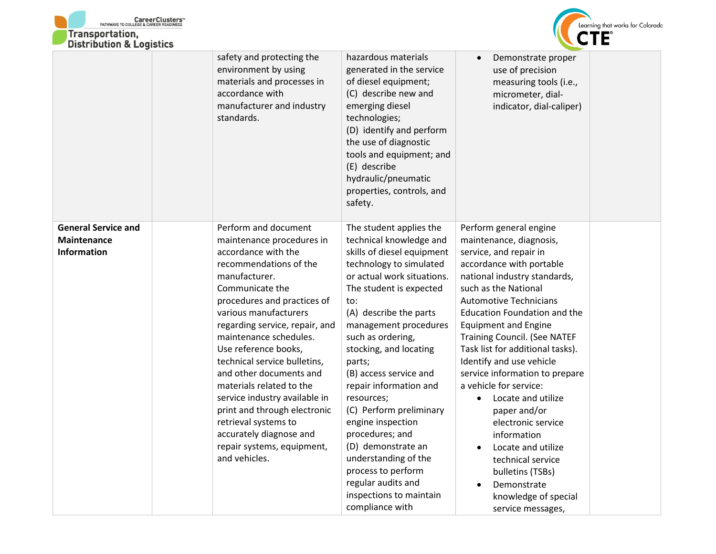



|                                                                        | safety and protecting the<br>environment by using<br>materials and processes in<br>accordance with<br>manufacturer and industry<br>standards.                                                                                                                                                                                                                                                                                                                                                                                                | hazardous materials<br>generated in the service<br>of diesel equipment;<br>(C) describe new and<br>emerging diesel<br>technologies;<br>(D) identify and perform<br>the use of diagnostic<br>tools and equipment; and<br>(E) describe<br>hydraulic/pneumatic<br>properties, controls, and<br>safety.                                                                                                                                                                                                                                                                  | Demonstrate proper<br>use of precision<br>measuring tools (i.e.,<br>micrometer, dial-<br>indicator, dial-caliper)                                                                                                                                                                                                                                                                                                                                                                                                                                                                                                                                     |
|------------------------------------------------------------------------|----------------------------------------------------------------------------------------------------------------------------------------------------------------------------------------------------------------------------------------------------------------------------------------------------------------------------------------------------------------------------------------------------------------------------------------------------------------------------------------------------------------------------------------------|----------------------------------------------------------------------------------------------------------------------------------------------------------------------------------------------------------------------------------------------------------------------------------------------------------------------------------------------------------------------------------------------------------------------------------------------------------------------------------------------------------------------------------------------------------------------|-------------------------------------------------------------------------------------------------------------------------------------------------------------------------------------------------------------------------------------------------------------------------------------------------------------------------------------------------------------------------------------------------------------------------------------------------------------------------------------------------------------------------------------------------------------------------------------------------------------------------------------------------------|
| <b>General Service and</b><br><b>Maintenance</b><br><b>Information</b> | Perform and document<br>maintenance procedures in<br>accordance with the<br>recommendations of the<br>manufacturer.<br>Communicate the<br>procedures and practices of<br>various manufacturers<br>regarding service, repair, and<br>maintenance schedules.<br>Use reference books,<br>technical service bulletins,<br>and other documents and<br>materials related to the<br>service industry available in<br>print and through electronic<br>retrieval systems to<br>accurately diagnose and<br>repair systems, equipment,<br>and vehicles. | The student applies the<br>technical knowledge and<br>skills of diesel equipment<br>technology to simulated<br>or actual work situations.<br>The student is expected<br>to:<br>(A) describe the parts<br>management procedures<br>such as ordering,<br>stocking, and locating<br>parts;<br>(B) access service and<br>repair information and<br>resources;<br>(C) Perform preliminary<br>engine inspection<br>procedures; and<br>(D) demonstrate an<br>understanding of the<br>process to perform<br>regular audits and<br>inspections to maintain<br>compliance with | Perform general engine<br>maintenance, diagnosis,<br>service, and repair in<br>accordance with portable<br>national industry standards,<br>such as the National<br><b>Automotive Technicians</b><br>Education Foundation and the<br><b>Equipment and Engine</b><br><b>Training Council. (See NATEF</b><br>Task list for additional tasks).<br>Identify and use vehicle<br>service information to prepare<br>a vehicle for service:<br>Locate and utilize<br>$\bullet$<br>paper and/or<br>electronic service<br>information<br>Locate and utilize<br>technical service<br>bulletins (TSBs)<br>Demonstrate<br>knowledge of special<br>service messages, |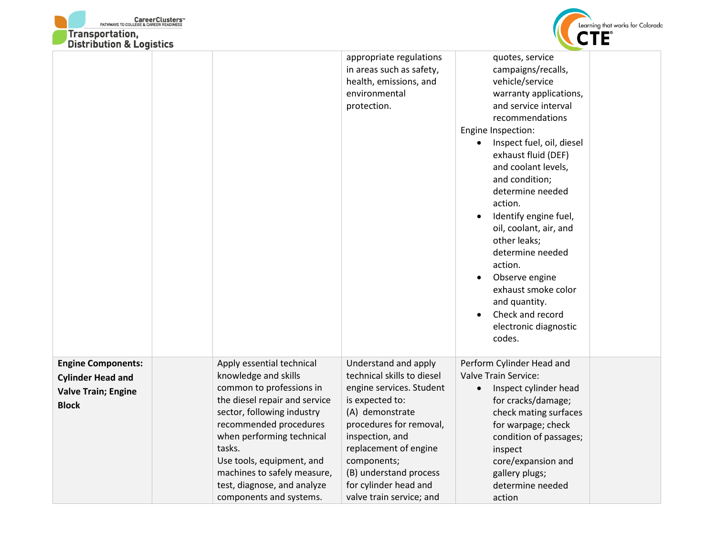



| DISTRIBUTION & LOGISTICS                                                                            |                                                                                                                                                                                                                                                                                                                                     |                                                                                                                                                                                                                                                                                           |                                                                                                                                                                                                                                                                                                                                                                                                                                                                                                    |
|-----------------------------------------------------------------------------------------------------|-------------------------------------------------------------------------------------------------------------------------------------------------------------------------------------------------------------------------------------------------------------------------------------------------------------------------------------|-------------------------------------------------------------------------------------------------------------------------------------------------------------------------------------------------------------------------------------------------------------------------------------------|----------------------------------------------------------------------------------------------------------------------------------------------------------------------------------------------------------------------------------------------------------------------------------------------------------------------------------------------------------------------------------------------------------------------------------------------------------------------------------------------------|
|                                                                                                     |                                                                                                                                                                                                                                                                                                                                     | appropriate regulations<br>in areas such as safety,<br>health, emissions, and<br>environmental<br>protection.                                                                                                                                                                             | quotes, service<br>campaigns/recalls,<br>vehicle/service<br>warranty applications,<br>and service interval<br>recommendations<br>Engine Inspection:<br>Inspect fuel, oil, diesel<br>exhaust fluid (DEF)<br>and coolant levels,<br>and condition;<br>determine needed<br>action.<br>Identify engine fuel,<br>oil, coolant, air, and<br>other leaks;<br>determine needed<br>action.<br>Observe engine<br>exhaust smoke color<br>and quantity.<br>Check and record<br>electronic diagnostic<br>codes. |
| <b>Engine Components:</b><br><b>Cylinder Head and</b><br><b>Valve Train; Engine</b><br><b>Block</b> | Apply essential technical<br>knowledge and skills<br>common to professions in<br>the diesel repair and service<br>sector, following industry<br>recommended procedures<br>when performing technical<br>tasks.<br>Use tools, equipment, and<br>machines to safely measure,<br>test, diagnose, and analyze<br>components and systems. | Understand and apply<br>technical skills to diesel<br>engine services. Student<br>is expected to:<br>(A) demonstrate<br>procedures for removal,<br>inspection, and<br>replacement of engine<br>components;<br>(B) understand process<br>for cylinder head and<br>valve train service; and | Perform Cylinder Head and<br>Valve Train Service:<br>Inspect cylinder head<br>$\bullet$<br>for cracks/damage;<br>check mating surfaces<br>for warpage; check<br>condition of passages;<br>inspect<br>core/expansion and<br>gallery plugs;<br>determine needed<br>action                                                                                                                                                                                                                            |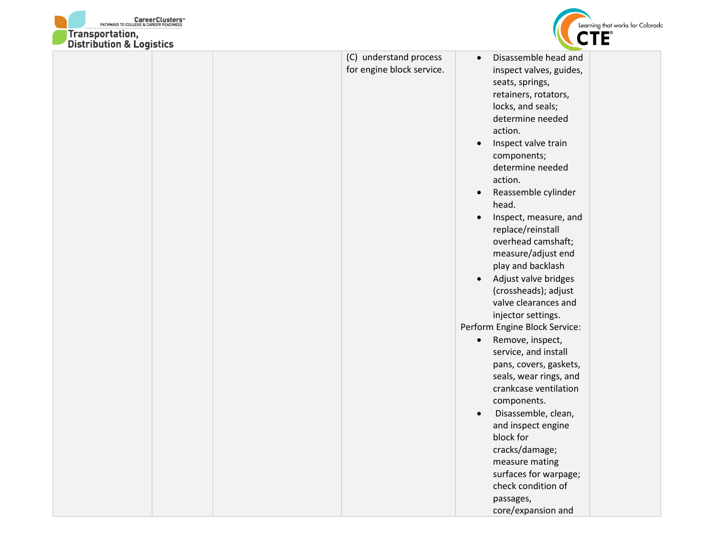



|  | (C) understand process    | Disassemble head and<br>$\bullet$  |
|--|---------------------------|------------------------------------|
|  | for engine block service. | inspect valves, guides,            |
|  |                           | seats, springs,                    |
|  |                           | retainers, rotators,               |
|  |                           | locks, and seals;                  |
|  |                           | determine needed                   |
|  |                           | action.                            |
|  |                           | Inspect valve train<br>$\bullet$   |
|  |                           | components;                        |
|  |                           | determine needed                   |
|  |                           | action.                            |
|  |                           | Reassemble cylinder<br>$\bullet$   |
|  |                           | head.                              |
|  |                           | Inspect, measure, and<br>$\bullet$ |
|  |                           | replace/reinstall                  |
|  |                           | overhead camshaft;                 |
|  |                           | measure/adjust end                 |
|  |                           | play and backlash                  |
|  |                           | Adjust valve bridges<br>$\bullet$  |
|  |                           | (crossheads); adjust               |
|  |                           | valve clearances and               |
|  |                           | injector settings.                 |
|  |                           | Perform Engine Block Service:      |
|  |                           | Remove, inspect,<br>$\bullet$      |
|  |                           | service, and install               |
|  |                           | pans, covers, gaskets,             |
|  |                           | seals, wear rings, and             |
|  |                           | crankcase ventilation              |
|  |                           | components.                        |
|  |                           | Disassemble, clean,<br>$\bullet$   |
|  |                           | and inspect engine                 |
|  |                           | block for                          |
|  |                           | cracks/damage;                     |
|  |                           | measure mating                     |
|  |                           | surfaces for warpage;              |
|  |                           | check condition of                 |
|  |                           | passages,                          |
|  |                           | core/expansion and                 |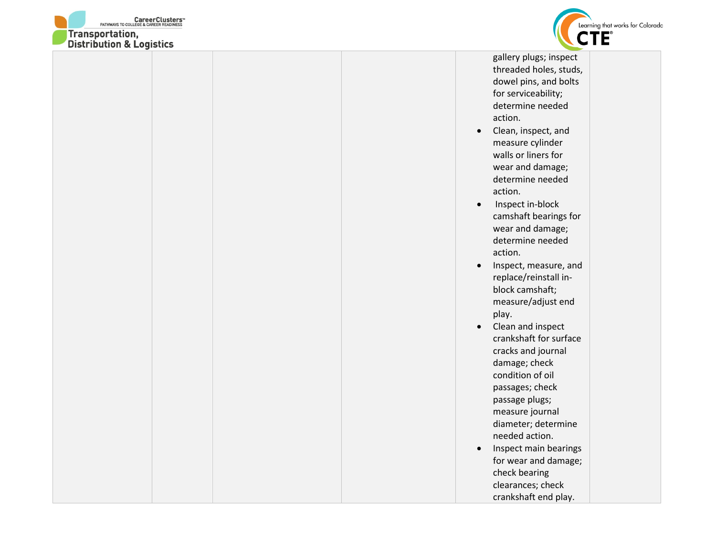



threaded holes, studs, dowel pins, and bolts for serviceability; determine needed action.

- Clean, inspect, and measure cylinder walls or liners for wear and damage; determine needed action.
- Inspect in-block camshaft bearings for wear and damage; determine needed action.
- Inspect, measure, and replace/reinstall inblock camshaft; measure/adjust end play.
- Clean and inspect crankshaft for surface cracks and journal damage; check condition of oil passages; check passage plugs; measure journal diameter; determine needed action.
- Inspect main bearings for wear and damage; check bearing clearances; check crankshaft end play.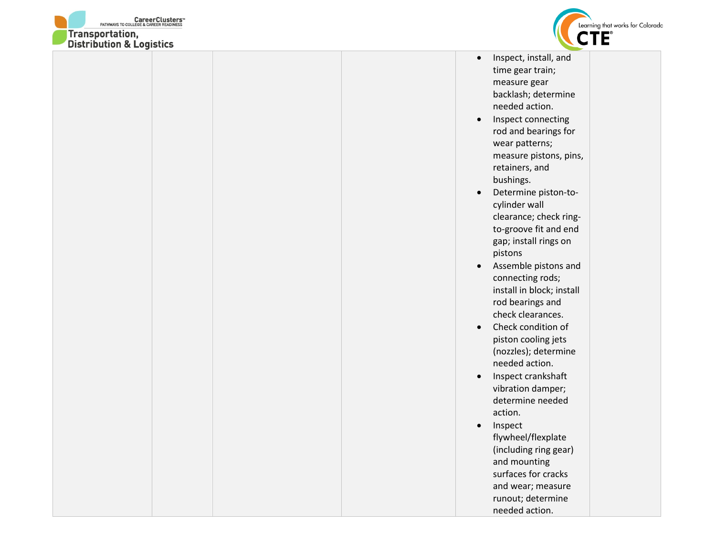



- Inspect, install, and time gear train; measure gear backlash; determine needed action.
- Inspect connecting rod and bearings for wear patterns; measure pistons, pins, retainers, and bushings.
- Determine piston-tocylinder wall clearance; check ringto-groove fit and end gap; install rings on pistons
- Assemble pistons and connecting rods; install in block; install rod bearings and check clearances.
- Check condition of piston cooling jets (nozzles); determine needed action.
- Inspect crankshaft vibration damper; determine needed action.
- Inspect flywheel/flexplate (including ring gear) and mounting surfaces for cracks and wear; measure runout; determine needed action.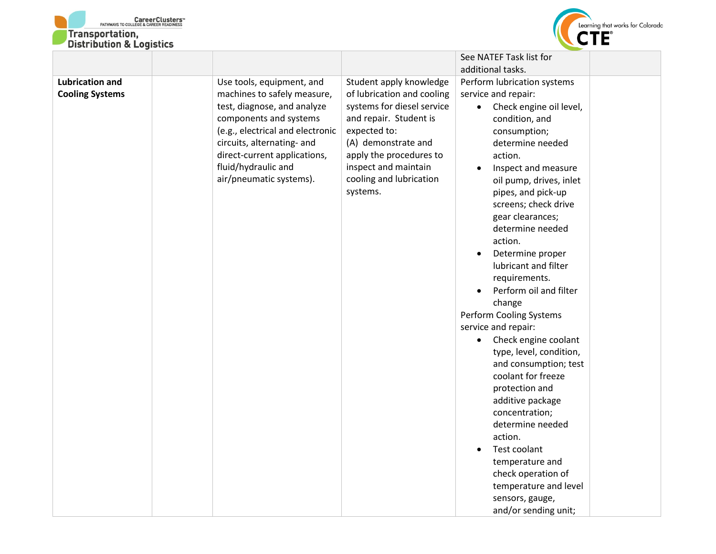



| DISTRIBUTION & LOGISTICS                         |                                                                                                                                                                                                                                                                       |                                                                                                                                                                                                                                                |                                                                                                                                                                                                                                                                                                                                                                                                                                                                                                                                                                                                                                                                                                                                                                                                          |
|--------------------------------------------------|-----------------------------------------------------------------------------------------------------------------------------------------------------------------------------------------------------------------------------------------------------------------------|------------------------------------------------------------------------------------------------------------------------------------------------------------------------------------------------------------------------------------------------|----------------------------------------------------------------------------------------------------------------------------------------------------------------------------------------------------------------------------------------------------------------------------------------------------------------------------------------------------------------------------------------------------------------------------------------------------------------------------------------------------------------------------------------------------------------------------------------------------------------------------------------------------------------------------------------------------------------------------------------------------------------------------------------------------------|
|                                                  |                                                                                                                                                                                                                                                                       |                                                                                                                                                                                                                                                | See NATEF Task list for                                                                                                                                                                                                                                                                                                                                                                                                                                                                                                                                                                                                                                                                                                                                                                                  |
|                                                  |                                                                                                                                                                                                                                                                       |                                                                                                                                                                                                                                                |                                                                                                                                                                                                                                                                                                                                                                                                                                                                                                                                                                                                                                                                                                                                                                                                          |
| <b>Lubrication and</b><br><b>Cooling Systems</b> | Use tools, equipment, and<br>machines to safely measure,<br>test, diagnose, and analyze<br>components and systems<br>(e.g., electrical and electronic<br>circuits, alternating- and<br>direct-current applications,<br>fluid/hydraulic and<br>air/pneumatic systems). | Student apply knowledge<br>of lubrication and cooling<br>systems for diesel service<br>and repair. Student is<br>expected to:<br>(A) demonstrate and<br>apply the procedures to<br>inspect and maintain<br>cooling and lubrication<br>systems. | additional tasks.<br>Perform lubrication systems<br>service and repair:<br>Check engine oil level,<br>$\bullet$<br>condition, and<br>consumption;<br>determine needed<br>action.<br>Inspect and measure<br>oil pump, drives, inlet<br>pipes, and pick-up<br>screens; check drive<br>gear clearances;<br>determine needed<br>action.<br>Determine proper<br>$\bullet$<br>lubricant and filter<br>requirements.<br>Perform oil and filter<br>$\bullet$<br>change<br>Perform Cooling Systems<br>service and repair:<br>Check engine coolant<br>$\bullet$<br>type, level, condition,<br>and consumption; test<br>coolant for freeze<br>protection and<br>additive package<br>concentration;<br>determine needed<br>action.<br>Test coolant<br>temperature and<br>check operation of<br>temperature and level |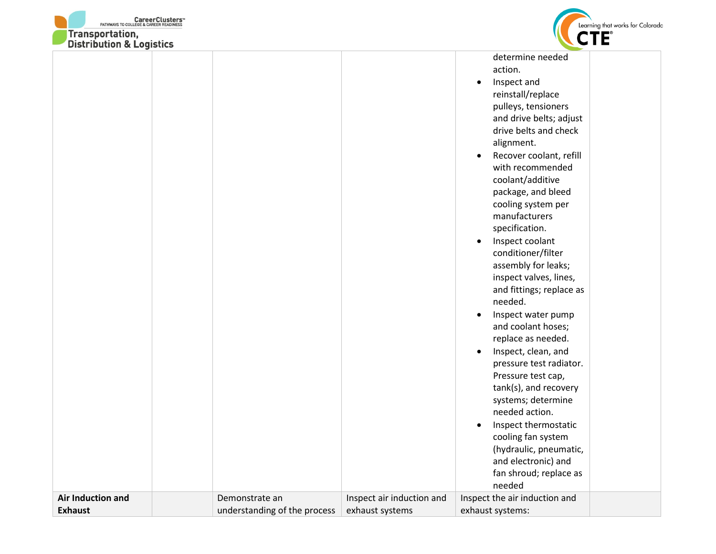



| DISTRIBUTION & LOGISTICS            |                                                |                                              |                                                                                                                                                                                                                                                                                                                                                                                                                                                                                                                                                                                                                                                                                                                                                                                                                                                                         |
|-------------------------------------|------------------------------------------------|----------------------------------------------|-------------------------------------------------------------------------------------------------------------------------------------------------------------------------------------------------------------------------------------------------------------------------------------------------------------------------------------------------------------------------------------------------------------------------------------------------------------------------------------------------------------------------------------------------------------------------------------------------------------------------------------------------------------------------------------------------------------------------------------------------------------------------------------------------------------------------------------------------------------------------|
|                                     |                                                |                                              | determine needed<br>action.<br>Inspect and<br>$\bullet$<br>reinstall/replace<br>pulleys, tensioners<br>and drive belts; adjust<br>drive belts and check<br>alignment.<br>Recover coolant, refill<br>$\bullet$<br>with recommended<br>coolant/additive<br>package, and bleed<br>cooling system per<br>manufacturers<br>specification.<br>Inspect coolant<br>$\bullet$<br>conditioner/filter<br>assembly for leaks;<br>inspect valves, lines,<br>and fittings; replace as<br>needed.<br>Inspect water pump<br>$\bullet$<br>and coolant hoses;<br>replace as needed.<br>Inspect, clean, and<br>$\bullet$<br>pressure test radiator.<br>Pressure test cap,<br>tank(s), and recovery<br>systems; determine<br>needed action.<br>Inspect thermostatic<br>$\bullet$<br>cooling fan system<br>(hydraulic, pneumatic,<br>and electronic) and<br>fan shroud; replace as<br>needed |
| Air Induction and<br><b>Exhaust</b> | Demonstrate an<br>understanding of the process | Inspect air induction and<br>exhaust systems | Inspect the air induction and<br>exhaust systems:                                                                                                                                                                                                                                                                                                                                                                                                                                                                                                                                                                                                                                                                                                                                                                                                                       |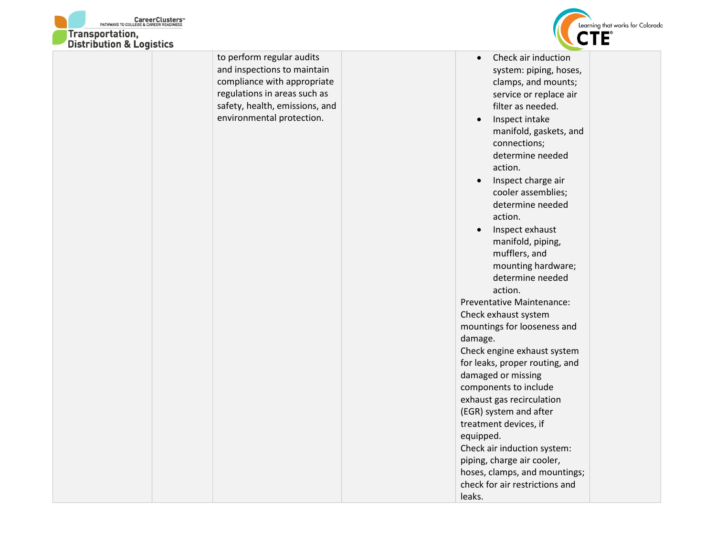



| DISTRIBUTION & LOGISTICS |                                |                                 |
|--------------------------|--------------------------------|---------------------------------|
|                          | to perform regular audits      | Check air induction             |
|                          | and inspections to maintain    | system: piping, hoses,          |
|                          | compliance with appropriate    | clamps, and mounts;             |
|                          | regulations in areas such as   | service or replace air          |
|                          | safety, health, emissions, and | filter as needed.               |
|                          | environmental protection.      | Inspect intake<br>$\bullet$     |
|                          |                                | manifold, gaskets, and          |
|                          |                                | connections;                    |
|                          |                                | determine needed                |
|                          |                                | action.                         |
|                          |                                | Inspect charge air<br>$\bullet$ |
|                          |                                | cooler assemblies;              |
|                          |                                | determine needed                |
|                          |                                | action.                         |
|                          |                                | Inspect exhaust<br>$\bullet$    |
|                          |                                | manifold, piping,               |
|                          |                                | mufflers, and                   |
|                          |                                | mounting hardware;              |
|                          |                                | determine needed                |
|                          |                                | action.                         |
|                          |                                | Preventative Maintenance:       |
|                          |                                | Check exhaust system            |
|                          |                                | mountings for looseness and     |
|                          |                                | damage.                         |
|                          |                                | Check engine exhaust system     |
|                          |                                | for leaks, proper routing, and  |
|                          |                                | damaged or missing              |
|                          |                                | components to include           |
|                          |                                | exhaust gas recirculation       |
|                          |                                | (EGR) system and after          |
|                          |                                | treatment devices, if           |
|                          |                                | equipped.                       |
|                          |                                | Check air induction system:     |
|                          |                                | piping, charge air cooler,      |
|                          |                                | hoses, clamps, and mountings;   |
|                          |                                | check for air restrictions and  |
|                          |                                | leaks.                          |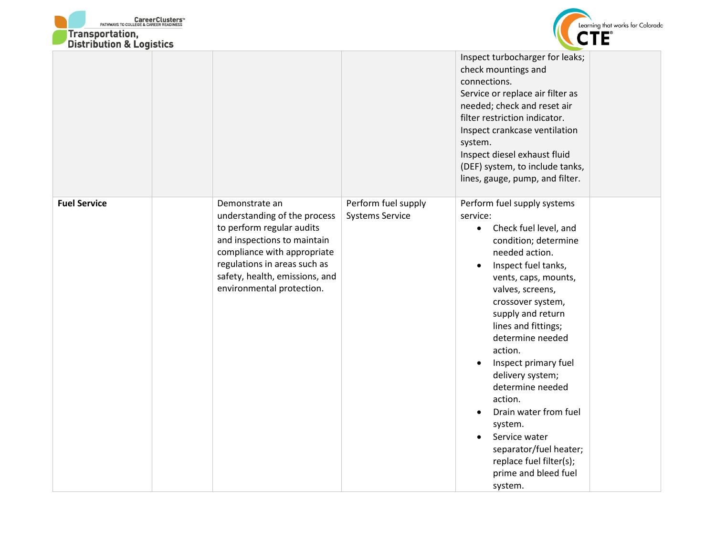



| DISTRIBUTION & LOGISTICS |                                                                                                                                                                                                                                          |                                               |                                                                                                                                                                                                                                                                                                                                                                                                                                                                                                                                                           |
|--------------------------|------------------------------------------------------------------------------------------------------------------------------------------------------------------------------------------------------------------------------------------|-----------------------------------------------|-----------------------------------------------------------------------------------------------------------------------------------------------------------------------------------------------------------------------------------------------------------------------------------------------------------------------------------------------------------------------------------------------------------------------------------------------------------------------------------------------------------------------------------------------------------|
|                          |                                                                                                                                                                                                                                          |                                               | Inspect turbocharger for leaks;<br>check mountings and<br>connections.<br>Service or replace air filter as<br>needed; check and reset air<br>filter restriction indicator.<br>Inspect crankcase ventilation<br>system.<br>Inspect diesel exhaust fluid<br>(DEF) system, to include tanks,<br>lines, gauge, pump, and filter.                                                                                                                                                                                                                              |
| <b>Fuel Service</b>      | Demonstrate an<br>understanding of the process<br>to perform regular audits<br>and inspections to maintain<br>compliance with appropriate<br>regulations in areas such as<br>safety, health, emissions, and<br>environmental protection. | Perform fuel supply<br><b>Systems Service</b> | Perform fuel supply systems<br>service:<br>Check fuel level, and<br>$\bullet$<br>condition; determine<br>needed action.<br>Inspect fuel tanks,<br>vents, caps, mounts,<br>valves, screens,<br>crossover system,<br>supply and return<br>lines and fittings;<br>determine needed<br>action.<br>Inspect primary fuel<br>$\bullet$<br>delivery system;<br>determine needed<br>action.<br>Drain water from fuel<br>$\bullet$<br>system.<br>Service water<br>$\bullet$<br>separator/fuel heater;<br>replace fuel filter(s);<br>prime and bleed fuel<br>system. |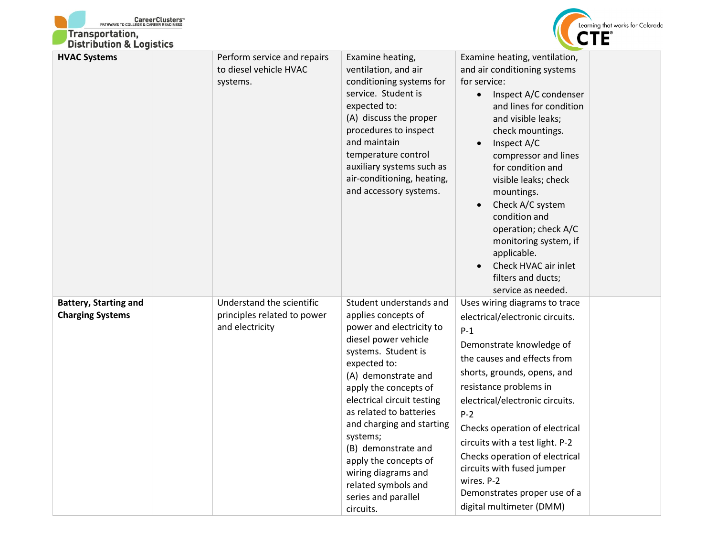| <b>CareerClusters MATHWAYS TO COLLEGE &amp; CAREER READINESS</b><br><b>Transportation,</b><br><b>Distribution &amp; Logistics</b> |                                                                             |                                                                                                                                                                                                                                                                                                                                                                                                                               |                                                                                                                                                                                                                                                                                                                                                                                                                                                          | Learning that works for Colorado |
|-----------------------------------------------------------------------------------------------------------------------------------|-----------------------------------------------------------------------------|-------------------------------------------------------------------------------------------------------------------------------------------------------------------------------------------------------------------------------------------------------------------------------------------------------------------------------------------------------------------------------------------------------------------------------|----------------------------------------------------------------------------------------------------------------------------------------------------------------------------------------------------------------------------------------------------------------------------------------------------------------------------------------------------------------------------------------------------------------------------------------------------------|----------------------------------|
| <b>HVAC Systems</b>                                                                                                               | Perform service and repairs<br>to diesel vehicle HVAC<br>systems.           | Examine heating,<br>ventilation, and air<br>conditioning systems for<br>service. Student is<br>expected to:<br>(A) discuss the proper<br>procedures to inspect<br>and maintain<br>temperature control<br>auxiliary systems such as<br>air-conditioning, heating,<br>and accessory systems.                                                                                                                                    | Examine heating, ventilation,<br>and air conditioning systems<br>for service:<br>Inspect A/C condenser<br>and lines for condition<br>and visible leaks;<br>check mountings.<br>Inspect A/C<br>compressor and lines<br>for condition and<br>visible leaks; check<br>mountings.<br>Check A/C system<br>condition and<br>operation; check A/C<br>monitoring system, if<br>applicable.<br>Check HVAC air inlet<br>filters and ducts;<br>service as needed.   |                                  |
| <b>Battery, Starting and</b><br><b>Charging Systems</b>                                                                           | Understand the scientific<br>principles related to power<br>and electricity | Student understands and<br>applies concepts of<br>power and electricity to<br>diesel power vehicle<br>systems. Student is<br>expected to:<br>(A) demonstrate and<br>apply the concepts of<br>electrical circuit testing<br>as related to batteries<br>and charging and starting<br>systems;<br>(B) demonstrate and<br>apply the concepts of<br>wiring diagrams and<br>related symbols and<br>series and parallel<br>circuits. | Uses wiring diagrams to trace<br>electrical/electronic circuits.<br>$P-1$<br>Demonstrate knowledge of<br>the causes and effects from<br>shorts, grounds, opens, and<br>resistance problems in<br>electrical/electronic circuits.<br>$P-2$<br>Checks operation of electrical<br>circuits with a test light. P-2<br>Checks operation of electrical<br>circuits with fused jumper<br>wires. P-2<br>Demonstrates proper use of a<br>digital multimeter (DMM) |                                  |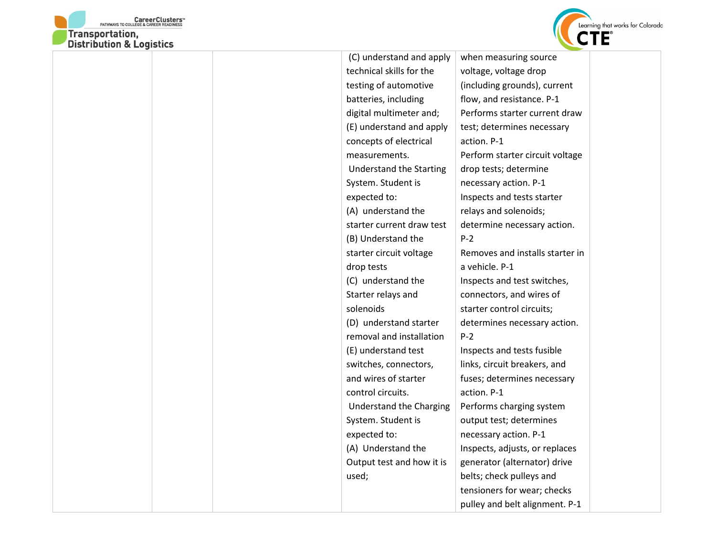



| (C) understand and apply       | when measuring source           |  |
|--------------------------------|---------------------------------|--|
| technical skills for the       | voltage, voltage drop           |  |
| testing of automotive          | (including grounds), current    |  |
| batteries, including           | flow, and resistance. P-1       |  |
| digital multimeter and;        | Performs starter current draw   |  |
| (E) understand and apply       | test; determines necessary      |  |
| concepts of electrical         | action. P-1                     |  |
| measurements.                  | Perform starter circuit voltage |  |
| <b>Understand the Starting</b> | drop tests; determine           |  |
| System. Student is             | necessary action. P-1           |  |
| expected to:                   | Inspects and tests starter      |  |
| (A) understand the             | relays and solenoids;           |  |
| starter current draw test      | determine necessary action.     |  |
| (B) Understand the             | $P-2$                           |  |
| starter circuit voltage        | Removes and installs starter in |  |
| drop tests                     | a vehicle. P-1                  |  |
| (C) understand the             | Inspects and test switches,     |  |
| Starter relays and             | connectors, and wires of        |  |
| solenoids                      | starter control circuits;       |  |
| (D) understand starter         | determines necessary action.    |  |
| removal and installation       | $P-2$                           |  |
| (E) understand test            | Inspects and tests fusible      |  |
| switches, connectors,          | links, circuit breakers, and    |  |
| and wires of starter           | fuses; determines necessary     |  |
| control circuits.              | action. P-1                     |  |
| Understand the Charging        | Performs charging system        |  |
| System. Student is             | output test; determines         |  |
| expected to:                   | necessary action. P-1           |  |
| (A) Understand the             | Inspects, adjusts, or replaces  |  |
| Output test and how it is      | generator (alternator) drive    |  |
| used;                          | belts; check pulleys and        |  |
|                                | tensioners for wear; checks     |  |
|                                | pulley and belt alignment. P-1  |  |